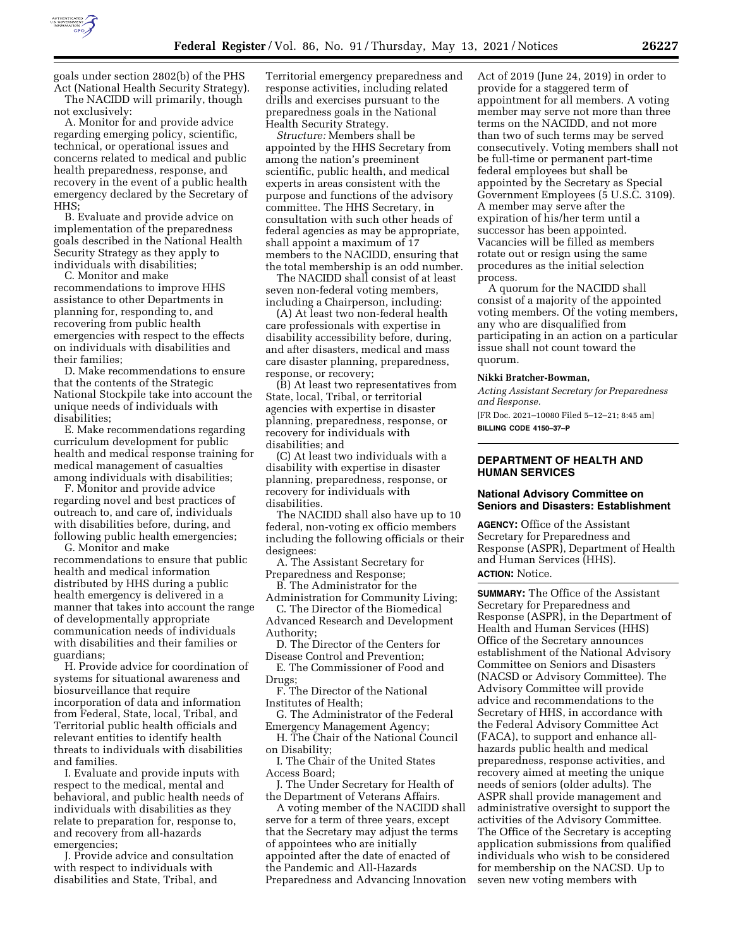

goals under section 2802(b) of the PHS Act (National Health Security Strategy). The NACIDD will primarily, though

not exclusively: A. Monitor for and provide advice regarding emerging policy, scientific, technical, or operational issues and concerns related to medical and public health preparedness, response, and recovery in the event of a public health emergency declared by the Secretary of HHS;

B. Evaluate and provide advice on implementation of the preparedness goals described in the National Health Security Strategy as they apply to individuals with disabilities;

C. Monitor and make recommendations to improve HHS assistance to other Departments in planning for, responding to, and recovering from public health emergencies with respect to the effects on individuals with disabilities and their families;

D. Make recommendations to ensure that the contents of the Strategic National Stockpile take into account the unique needs of individuals with disabilities;

E. Make recommendations regarding curriculum development for public health and medical response training for medical management of casualties among individuals with disabilities;

F. Monitor and provide advice regarding novel and best practices of outreach to, and care of, individuals with disabilities before, during, and following public health emergencies;

G. Monitor and make recommendations to ensure that public health and medical information distributed by HHS during a public health emergency is delivered in a manner that takes into account the range of developmentally appropriate communication needs of individuals with disabilities and their families or guardians;

H. Provide advice for coordination of systems for situational awareness and biosurveillance that require incorporation of data and information from Federal, State, local, Tribal, and Territorial public health officials and relevant entities to identify health threats to individuals with disabilities and families.

I. Evaluate and provide inputs with respect to the medical, mental and behavioral, and public health needs of individuals with disabilities as they relate to preparation for, response to, and recovery from all-hazards emergencies;

J. Provide advice and consultation with respect to individuals with disabilities and State, Tribal, and

Territorial emergency preparedness and response activities, including related drills and exercises pursuant to the preparedness goals in the National Health Security Strategy.

*Structure:* Members shall be appointed by the HHS Secretary from among the nation's preeminent scientific, public health, and medical experts in areas consistent with the purpose and functions of the advisory committee. The HHS Secretary, in consultation with such other heads of federal agencies as may be appropriate, shall appoint a maximum of 17 members to the NACIDD, ensuring that the total membership is an odd number.

The NACIDD shall consist of at least seven non-federal voting members, including a Chairperson, including:

(A) At least two non-federal health care professionals with expertise in disability accessibility before, during, and after disasters, medical and mass care disaster planning, preparedness, response, or recovery;

(B) At least two representatives from State, local, Tribal, or territorial agencies with expertise in disaster planning, preparedness, response, or recovery for individuals with disabilities; and

(C) At least two individuals with a disability with expertise in disaster planning, preparedness, response, or recovery for individuals with disabilities.

The NACIDD shall also have up to 10 federal, non-voting ex officio members including the following officials or their designees:

A. The Assistant Secretary for Preparedness and Response;

B. The Administrator for the Administration for Community Living;

C. The Director of the Biomedical Advanced Research and Development

Authority;

D. The Director of the Centers for Disease Control and Prevention;

E. The Commissioner of Food and Drugs;

F. The Director of the National Institutes of Health;

G. The Administrator of the Federal Emergency Management Agency;

H. The Chair of the National Council on Disability;

I. The Chair of the United States Access Board;

J. The Under Secretary for Health of the Department of Veterans Affairs.

A voting member of the NACIDD shall serve for a term of three years, except that the Secretary may adjust the terms of appointees who are initially appointed after the date of enacted of the Pandemic and All-Hazards Preparedness and Advancing Innovation Act of 2019 (June 24, 2019) in order to provide for a staggered term of appointment for all members. A voting member may serve not more than three terms on the NACIDD, and not more than two of such terms may be served consecutively. Voting members shall not be full-time or permanent part-time federal employees but shall be appointed by the Secretary as Special Government Employees (5 U.S.C. 3109). A member may serve after the expiration of his/her term until a successor has been appointed. Vacancies will be filled as members rotate out or resign using the same procedures as the initial selection process.

A quorum for the NACIDD shall consist of a majority of the appointed voting members. Of the voting members, any who are disqualified from participating in an action on a particular issue shall not count toward the quorum.

#### **Nikki Bratcher-Bowman,**

*Acting Assistant Secretary for Preparedness and Response.* 

[FR Doc. 2021–10080 Filed 5–12–21; 8:45 am] **BILLING CODE 4150–37–P** 

## **DEPARTMENT OF HEALTH AND HUMAN SERVICES**

### **National Advisory Committee on Seniors and Disasters: Establishment**

**AGENCY:** Office of the Assistant Secretary for Preparedness and Response (ASPR), Department of Health and Human Services (HHS). **ACTION:** Notice.

**SUMMARY:** The Office of the Assistant Secretary for Preparedness and Response (ASPR), in the Department of Health and Human Services (HHS) Office of the Secretary announces establishment of the National Advisory Committee on Seniors and Disasters (NACSD or Advisory Committee). The Advisory Committee will provide advice and recommendations to the Secretary of HHS, in accordance with the Federal Advisory Committee Act (FACA), to support and enhance allhazards public health and medical preparedness, response activities, and recovery aimed at meeting the unique needs of seniors (older adults). The ASPR shall provide management and administrative oversight to support the activities of the Advisory Committee. The Office of the Secretary is accepting application submissions from qualified individuals who wish to be considered for membership on the NACSD. Up to seven new voting members with